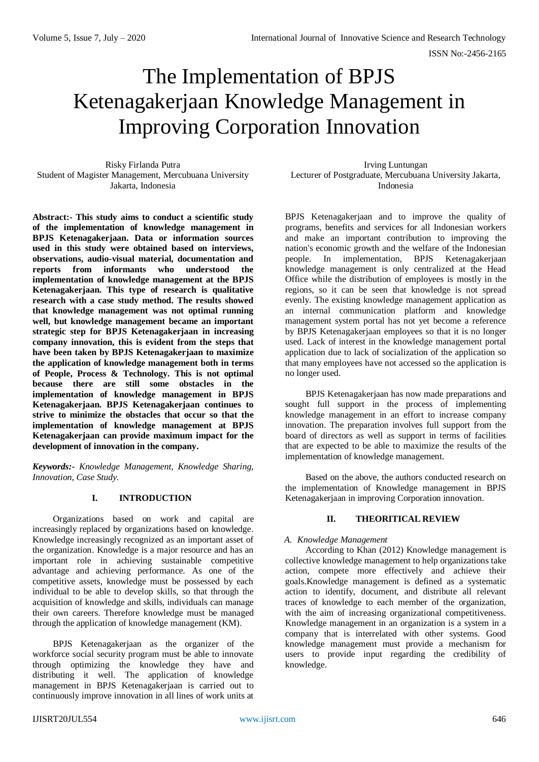# The Implementation of BPJS Ketenagakerjaan Knowledge Management in Improving Corporation Innovation

Risky Firlanda Putra Student of Magister Management, Mercubuana University Jakarta, Indonesia

**Abstract:- This study aims to conduct a scientific study of the implementation of knowledge management in BPJS Ketenagakerjaan. Data or information sources used in this study were obtained based on interviews, observations, audio-visual material, documentation and reports from informants who understood the implementation of knowledge management at the BPJS Ketenagakerjaan. This type of research is qualitative research with a case study method. The results showed that knowledge management was not optimal running well, but knowledge management became an important strategic step for BPJS Ketenagakerjaan in increasing company innovation, this is evident from the steps that have been taken by BPJS Ketenagakerjaan to maximize the application of knowledge management both in terms of People, Process & Technology. This is not optimal because there are still some obstacles in the implementation of knowledge management in BPJS Ketenagakerjaan. BPJS Ketenagakerjaan continues to strive to minimize the obstacles that occur so that the implementation of knowledge management at BPJS Ketenagakerjaan can provide maximum impact for the development of innovation in the company.**

*Keywords:- Knowledge Management, Knowledge Sharing, Innovation, Case Study.*

## **I. INTRODUCTION**

Organizations based on work and capital are increasingly replaced by organizations based on knowledge. Knowledge increasingly recognized as an important asset of the organization. Knowledge is a major resource and has an important role in achieving sustainable competitive advantage and achieving performance. As one of the competitive assets, knowledge must be possessed by each individual to be able to develop skills, so that through the acquisition of knowledge and skills, individuals can manage their own careers. Therefore knowledge must be managed through the application of knowledge management (KM).

BPJS Ketenagakerjaan as the organizer of the workforce social security program must be able to innovate through optimizing the knowledge they have and distributing it well. The application of knowledge management in BPJS Ketenagakerjaan is carried out to continuously improve innovation in all lines of work units at

Irving Luntungan Lecturer of Postgraduate, Mercubuana University Jakarta, Indonesia

BPJS Ketenagakerjaan and to improve the quality of programs, benefits and services for all Indonesian workers and make an important contribution to improving the nation's economic growth and the welfare of the Indonesian people. In implementation, BPJS Ketenagakerjaan knowledge management is only centralized at the Head Office while the distribution of employees is mostly in the regions, so it can be seen that knowledge is not spread evenly. The existing knowledge management application as an internal communication platform and knowledge management system portal has not yet become a reference by BPJS Ketenagakerjaan employees so that it is no longer used. Lack of interest in the knowledge management portal application due to lack of socialization of the application so that many employees have not accessed so the application is no longer used.

BPJS Ketenagakerjaan has now made preparations and sought full support in the process of implementing knowledge management in an effort to increase company innovation. The preparation involves full support from the board of directors as well as support in terms of facilities that are expected to be able to maximize the results of the implementation of knowledge management.

Based on the above, the authors conducted research on the implementation of Knowledge management in BPJS Ketenagakerjaan in improving Corporation innovation.

## **II. THEORITICAL REVIEW**

## *A. Knowledge Management*

According to Khan (2012) Knowledge management is collective knowledge management to help organizations take action, compete more effectively and achieve their goals.Knowledge management is defined as a systematic action to identify, document, and distribute all relevant traces of knowledge to each member of the organization, with the aim of increasing organizational competitiveness. Knowledge management in an organization is a system in a company that is interrelated with other systems. Good knowledge management must provide a mechanism for users to provide input regarding the credibility of knowledge.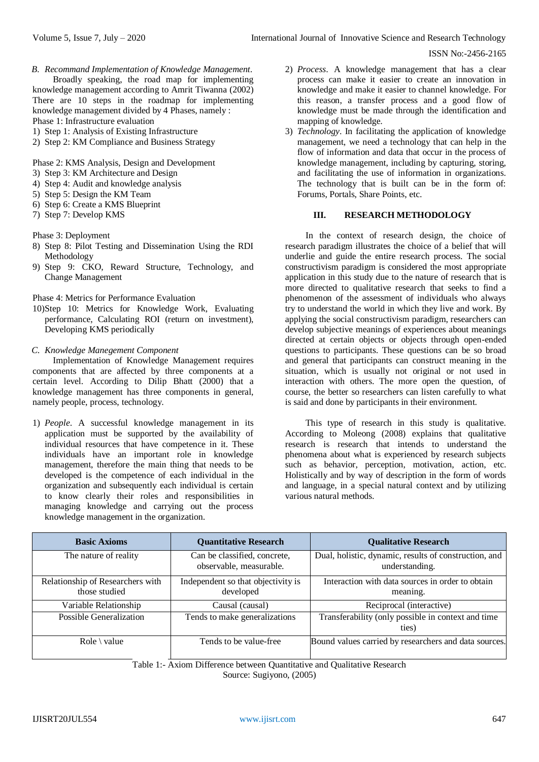*B. Recommand Implementation of Knowledge Management.* Broadly speaking, the road map for implementing knowledge management according to Amrit Tiwanna (2002) There are 10 steps in the roadmap for implementing knowledge management divided by 4 Phases, namely :

Phase 1: Infrastructure evaluation

- 1) Step 1: Analysis of Existing Infrastructure
- 2) Step 2: KM Compliance and Business Strategy

Phase 2: KMS Analysis, Design and Development

- 3) Step 3: KM Architecture and Design
- 4) Step 4: Audit and knowledge analysis
- 5) Step 5: Design the KM Team
- 6) Step 6: Create a KMS Blueprint
- 7) Step 7: Develop KMS

Phase 3: Deployment

- 8) Step 8: Pilot Testing and Dissemination Using the RDI Methodology
- 9) Step 9: CKO, Reward Structure, Technology, and Change Management

Phase 4: Metrics for Performance Evaluation

10)Step 10: Metrics for Knowledge Work, Evaluating performance, Calculating ROI (return on investment), Developing KMS periodically

#### *C. Knowledge Manegement Component*

Implementation of Knowledge Management requires components that are affected by three components at a certain level. According to Dilip Bhatt (2000) that a knowledge management has three components in general, namely people, process, technology.

1) *People*. A successful knowledge management in its application must be supported by the availability of individual resources that have competence in it. These individuals have an important role in knowledge management, therefore the main thing that needs to be developed is the competence of each individual in the organization and subsequently each individual is certain to know clearly their roles and responsibilities in managing knowledge and carrying out the process knowledge management in the organization.

- 2) *Process*. A knowledge management that has a clear process can make it easier to create an innovation in knowledge and make it easier to channel knowledge. For this reason, a transfer process and a good flow of knowledge must be made through the identification and mapping of knowledge.
- 3) *Technology*. In facilitating the application of knowledge management, we need a technology that can help in the flow of information and data that occur in the process of knowledge management, including by capturing, storing, and facilitating the use of information in organizations. The technology that is built can be in the form of: Forums, Portals, Share Points, etc.

# **III. RESEARCH METHODOLOGY**

In the context of research design, the choice of research paradigm illustrates the choice of a belief that will underlie and guide the entire research process. The social constructivism paradigm is considered the most appropriate application in this study due to the nature of research that is more directed to qualitative research that seeks to find a phenomenon of the assessment of individuals who always try to understand the world in which they live and work. By applying the social constructivism paradigm, researchers can develop subjective meanings of experiences about meanings directed at certain objects or objects through open-ended questions to participants. These questions can be so broad and general that participants can construct meaning in the situation, which is usually not original or not used in interaction with others. The more open the question, of course, the better so researchers can listen carefully to what is said and done by participants in their environment.

This type of research in this study is qualitative. According to Moleong (2008) explains that qualitative research is research that intends to understand the phenomena about what is experienced by research subjects such as behavior, perception, motivation, action, etc. Holistically and by way of description in the form of words and language, in a special natural context and by utilizing various natural methods.

| <b>Basic Axioms</b>                               | <b>Quantitative Research</b>                            | <b>Qualitative Research</b>                                             |
|---------------------------------------------------|---------------------------------------------------------|-------------------------------------------------------------------------|
| The nature of reality                             | Can be classified, concrete,<br>observable, measurable. | Dual, holistic, dynamic, results of construction, and<br>understanding. |
| Relationship of Researchers with<br>those studied | Independent so that objectivity is<br>developed         | Interaction with data sources in order to obtain<br>meaning.            |
| Variable Relationship                             | Causal (causal)                                         | Reciprocal (interactive)                                                |
| Possible Generalization                           | Tends to make generalizations                           | Transferability (only possible in context and time<br>ties)             |
| Role $\backslash$ value                           | Tends to be value-free                                  | Bound values carried by researchers and data sources.                   |

Table 1:- Axiom Difference between Quantitative and Qualitative Research

Source: Sugiyono, (2005)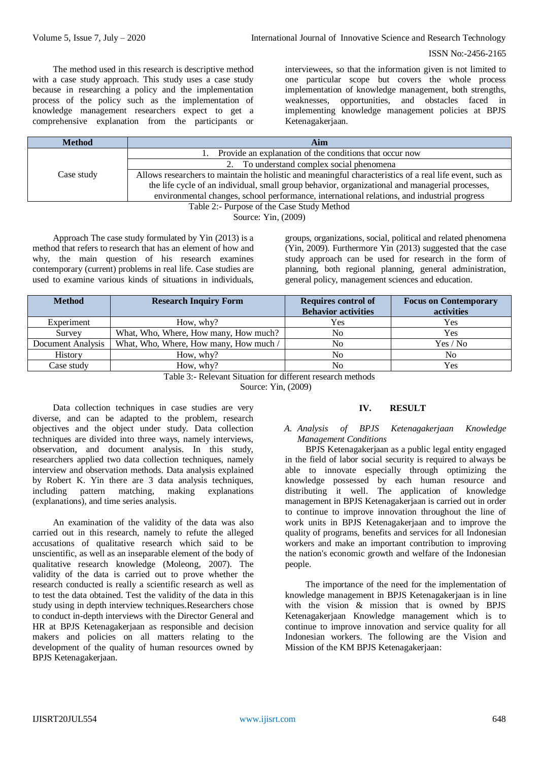The method used in this research is descriptive method with a case study approach. This study uses a case study because in researching a policy and the implementation process of the policy such as the implementation of knowledge management researchers expect to get a comprehensive explanation from the participants or interviewees, so that the information given is not limited to one particular scope but covers the whole process implementation of knowledge management, both strengths, weaknesses, opportunities, and obstacles faced in implementing knowledge management policies at BPJS Ketenagakerjaan.

| <b>Method</b>                              | Aim                                                                                                      |  |  |
|--------------------------------------------|----------------------------------------------------------------------------------------------------------|--|--|
|                                            | Provide an explanation of the conditions that occur now                                                  |  |  |
|                                            | 2. To understand complex social phenomena                                                                |  |  |
| Case study                                 | Allows researchers to maintain the holistic and meaningful characteristics of a real life event, such as |  |  |
|                                            | the life cycle of an individual, small group behavior, organizational and managerial processes,          |  |  |
|                                            | environmental changes, school performance, international relations, and industrial progress              |  |  |
| Table 2:- Purpose of the Case Study Method |                                                                                                          |  |  |

Source: Yin, (2009)

Approach The case study formulated by Yin (2013) is a method that refers to research that has an element of how and why, the main question of his research examines contemporary (current) problems in real life. Case studies are used to examine various kinds of situations in individuals,

groups, organizations, social, political and related phenomena (Yin, 2009). Furthermore Yin (2013) suggested that the case study approach can be used for research in the form of planning, both regional planning, general administration, general policy, management sciences and education.

| <b>Method</b>     | <b>Research Inquiry Form</b>           | <b>Requires control of</b><br><b>Behavior activities</b> | <b>Focus on Contemporary</b><br>activities |
|-------------------|----------------------------------------|----------------------------------------------------------|--------------------------------------------|
| Experiment        | How, why?                              | Yes                                                      | Yes                                        |
| Survey            | What, Who, Where, How many, How much?  | No                                                       | Yes                                        |
| Document Analysis | What, Who, Where, How many, How much / | No                                                       | Yes / No                                   |
| History           | How, why?                              |                                                          | No.                                        |
| Case study        | How, why?                              | No                                                       | Yes                                        |

Table 3:- Relevant Situation for different research methods

Source: Yin, (2009)

Data collection techniques in case studies are very diverse, and can be adapted to the problem, research objectives and the object under study. Data collection techniques are divided into three ways, namely interviews, observation, and document analysis. In this study, researchers applied two data collection techniques, namely interview and observation methods. Data analysis explained by Robert K. Yin there are 3 data analysis techniques, including pattern matching, making explanations (explanations), and time series analysis.

An examination of the validity of the data was also carried out in this research, namely to refute the alleged accusations of qualitative research which said to be unscientific, as well as an inseparable element of the body of qualitative research knowledge (Moleong, 2007). The validity of the data is carried out to prove whether the research conducted is really a scientific research as well as to test the data obtained. Test the validity of the data in this study using in depth interview techniques.Researchers chose to conduct in-depth interviews with the Director General and HR at BPJS Ketenagakerjaan as responsible and decision makers and policies on all matters relating to the development of the quality of human resources owned by BPJS Ketenagakerjaan.

# **IV. RESULT**

## *A. Analysis of BPJS Ketenagakerjaan Knowledge Management Conditions*

BPJS Ketenagakerjaan as a public legal entity engaged in the field of labor social security is required to always be able to innovate especially through optimizing the knowledge possessed by each human resource and distributing it well. The application of knowledge management in BPJS Ketenagakerjaan is carried out in order to continue to improve innovation throughout the line of work units in BPJS Ketenagakerjaan and to improve the quality of programs, benefits and services for all Indonesian workers and make an important contribution to improving the nation's economic growth and welfare of the Indonesian people.

The importance of the need for the implementation of knowledge management in BPJS Ketenagakerjaan is in line with the vision & mission that is owned by BPJS Ketenagakerjaan Knowledge management which is to continue to improve innovation and service quality for all Indonesian workers. The following are the Vision and Mission of the KM BPJS Ketenagakerjaan: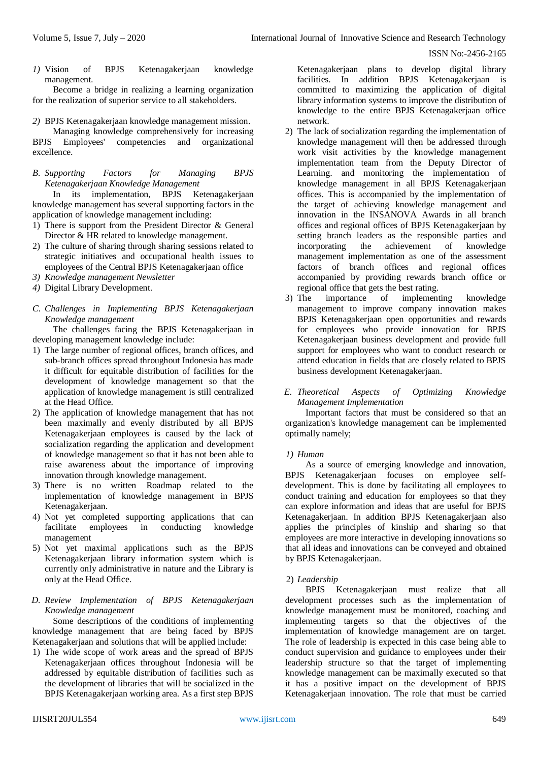*1)* Vision of BPJS Ketenagakerjaan knowledge management.

Become a bridge in realizing a learning organization for the realization of superior service to all stakeholders.

*2)* BPJS Ketenagakerjaan knowledge management mission.

Managing knowledge comprehensively for increasing BPJS Employees' competencies and organizational excellence.

## *B. Supporting Factors for Managing BPJS Ketenagakerjaan Knowledge Management*

In its implementation, BPJS Ketenagakerjaan knowledge management has several supporting factors in the application of knowledge management including:

- 1) There is support from the President Director & General Director & HR related to knowledge management.
- 2) The culture of sharing through sharing sessions related to strategic initiatives and occupational health issues to employees of the Central BPJS Ketenagakerjaan office
- *3) Knowledge management Newsletter*
- *4)* Digital Library Development.
- *C. Challenges in Implementing BPJS Ketenagakerjaan Knowledge management*

The challenges facing the BPJS Ketenagakerjaan in developing management knowledge include:

- 1) The large number of regional offices, branch offices, and sub-branch offices spread throughout Indonesia has made it difficult for equitable distribution of facilities for the development of knowledge management so that the application of knowledge management is still centralized at the Head Office.
- 2) The application of knowledge management that has not been maximally and evenly distributed by all BPJS Ketenagakerjaan employees is caused by the lack of socialization regarding the application and development of knowledge management so that it has not been able to raise awareness about the importance of improving innovation through knowledge management.
- 3) There is no written Roadmap related to the implementation of knowledge management in BPJS Ketenagakerjaan.
- 4) Not yet completed supporting applications that can facilitate employees in conducting knowledge management
- 5) Not yet maximal applications such as the BPJS Ketenagakerjaan library information system which is currently only administrative in nature and the Library is only at the Head Office.

# *D. Review Implementation of BPJS Ketenagakerjaan Knowledge management*

Some descriptions of the conditions of implementing knowledge management that are being faced by BPJS Ketenagakerjaan and solutions that will be applied include:

1) The wide scope of work areas and the spread of BPJS Ketenagakerjaan offices throughout Indonesia will be addressed by equitable distribution of facilities such as the development of libraries that will be socialized in the BPJS Ketenagakerjaan working area. As a first step BPJS

Ketenagakerjaan plans to develop digital library facilities. In addition BPJS Ketenagakerjaan is committed to maximizing the application of digital library information systems to improve the distribution of knowledge to the entire BPJS Ketenagakerjaan office network.

- 2) The lack of socialization regarding the implementation of knowledge management will then be addressed through work visit activities by the knowledge management implementation team from the Deputy Director of Learning. and monitoring the implementation of knowledge management in all BPJS Ketenagakerjaan offices. This is accompanied by the implementation of the target of achieving knowledge management and innovation in the INSANOVA Awards in all branch offices and regional offices of BPJS Ketenagakerjaan by setting branch leaders as the responsible parties and incorporating the achievement of knowledge management implementation as one of the assessment factors of branch offices and regional offices accompanied by providing rewards branch office or regional office that gets the best rating.
- 3) The importance of implementing knowledge management to improve company innovation makes BPJS Ketenagakerjaan open opportunities and rewards for employees who provide innovation for BPJS Ketenagakerjaan business development and provide full support for employees who want to conduct research or attend education in fields that are closely related to BPJS business development Ketenagakerjaan.

## *E. Theoretical Aspects of Optimizing Knowledge Management Implementation*

Important factors that must be considered so that an organization's knowledge management can be implemented optimally namely;

# *1) Human*

As a source of emerging knowledge and innovation, BPJS Ketenagakerjaan focuses on employee selfdevelopment. This is done by facilitating all employees to conduct training and education for employees so that they can explore information and ideas that are useful for BPJS Ketenagakerjaan. In addition BPJS Ketenagakerjaan also applies the principles of kinship and sharing so that employees are more interactive in developing innovations so that all ideas and innovations can be conveyed and obtained by BPJS Ketenagakerjaan.

# 2) *Leadership*

BPJS Ketenagakerjaan must realize that all development processes such as the implementation of knowledge management must be monitored, coaching and implementing targets so that the objectives of the implementation of knowledge management are on target. The role of leadership is expected in this case being able to conduct supervision and guidance to employees under their leadership structure so that the target of implementing knowledge management can be maximally executed so that it has a positive impact on the development of BPJS Ketenagakerjaan innovation. The role that must be carried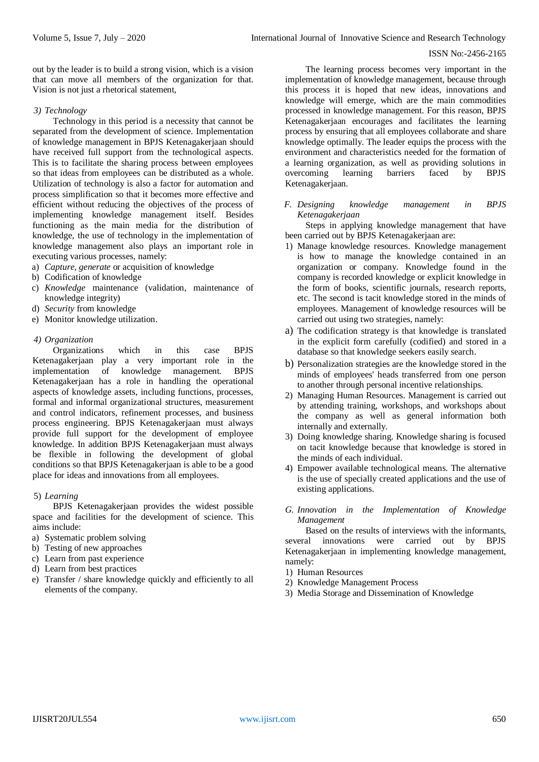out by the leader is to build a strong vision, which is a vision that can move all members of the organization for that. Vision is not just a rhetorical statement,

## *3) Technology*

Technology in this period is a necessity that cannot be separated from the development of science. Implementation of knowledge management in BPJS Ketenagakerjaan should have received full support from the technological aspects. This is to facilitate the sharing process between employees so that ideas from employees can be distributed as a whole. Utilization of technology is also a factor for automation and process simplification so that it becomes more effective and efficient without reducing the objectives of the process of implementing knowledge management itself. Besides functioning as the main media for the distribution of knowledge, the use of technology in the implementation of knowledge management also plays an important role in executing various processes, namely:

- a) *Capture, generate* or acquisition of knowledge
- b) Codification of knowledge
- c) *Knowledge* maintenance (validation, maintenance of knowledge integrity)
- d) *Security* from knowledge
- e) Monitor knowledge utilization.

## *4) Organization*

Organizations which in this case BPJS Ketenagakerjaan play a very important role in the implementation of knowledge management. BPJS Ketenagakerjaan has a role in handling the operational aspects of knowledge assets, including functions, processes, formal and informal organizational structures, measurement and control indicators, refinement processes, and business process engineering. BPJS Ketenagakerjaan must always provide full support for the development of employee knowledge. In addition BPJS Ketenagakerjaan must always be flexible in following the development of global conditions so that BPJS Ketenagakerjaan is able to be a good place for ideas and innovations from all employees.

# 5) *Learning*

BPJS Ketenagakerjaan provides the widest possible space and facilities for the development of science. This aims include:

- a) Systematic problem solving
- b) Testing of new approaches
- c) Learn from past experience
- d) Learn from best practices
- e) Transfer / share knowledge quickly and efficiently to all elements of the company.

The learning process becomes very important in the implementation of knowledge management, because through this process it is hoped that new ideas, innovations and knowledge will emerge, which are the main commodities processed in knowledge management. For this reason, BPJS Ketenagakerjaan encourages and facilitates the learning process by ensuring that all employees collaborate and share knowledge optimally. The leader equips the process with the environment and characteristics needed for the formation of a learning organization, as well as providing solutions in overcoming learning barriers faced by BPJS Ketenagakerjaan.

*F. Designing knowledge management in BPJS Ketenagakerjaan*

Steps in applying knowledge management that have been carried out by BPJS Ketenagakerjaan are:

- 1) Manage knowledge resources. Knowledge management is how to manage the knowledge contained in an organization or company. Knowledge found in the company is recorded knowledge or explicit knowledge in the form of books, scientific journals, research reports, etc. The second is tacit knowledge stored in the minds of employees. Management of knowledge resources will be carried out using two strategies, namely:
- a) The codification strategy is that knowledge is translated in the explicit form carefully (codified) and stored in a database so that knowledge seekers easily search.
- b) Personalization strategies are the knowledge stored in the minds of employees' heads transferred from one person to another through personal incentive relationships.
- 2) Managing Human Resources. Management is carried out by attending training, workshops, and workshops about the company as well as general information both internally and externally.
- 3) Doing knowledge sharing. Knowledge sharing is focused on tacit knowledge because that knowledge is stored in the minds of each individual.
- 4) Empower available technological means. The alternative is the use of specially created applications and the use of existing applications.
- *G. Innovation in the Implementation of Knowledge Management*

Based on the results of interviews with the informants, several innovations were carried out by BPJS Ketenagakerjaan in implementing knowledge management, namely:

- 1) Human Resources
- 2) Knowledge Management Process
- 3) Media Storage and Dissemination of Knowledge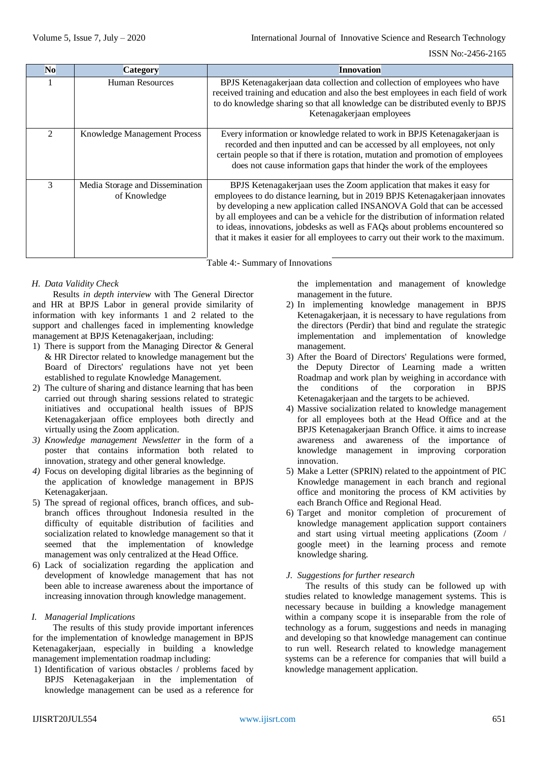| N <sub>o</sub> | <b>Category</b>                                 | <b>Innovation</b>                                                                                                                                                                                                                                                                                                                                                                                                                                                                              |
|----------------|-------------------------------------------------|------------------------------------------------------------------------------------------------------------------------------------------------------------------------------------------------------------------------------------------------------------------------------------------------------------------------------------------------------------------------------------------------------------------------------------------------------------------------------------------------|
|                | Human Resources                                 | BPJS Ketenagakerjaan data collection and collection of employees who have<br>received training and education and also the best employees in each field of work<br>to do knowledge sharing so that all knowledge can be distributed evenly to BPJS<br>Ketenagakerjaan employees                                                                                                                                                                                                                 |
| $\mathcal{D}$  | Knowledge Management Process                    | Every information or knowledge related to work in BPJS Ketenagakerjaan is<br>recorded and then inputted and can be accessed by all employees, not only<br>certain people so that if there is rotation, mutation and promotion of employees<br>does not cause information gaps that hinder the work of the employees                                                                                                                                                                            |
| 3              | Media Storage and Dissemination<br>of Knowledge | BPJS Ketenagakerjaan uses the Zoom application that makes it easy for<br>employees to do distance learning, but in 2019 BPJS Ketenagakerjaan innovates<br>by developing a new application called INSANOVA Gold that can be accessed<br>by all employees and can be a vehicle for the distribution of information related<br>to ideas, innovations, jobdesks as well as FAQs about problems encountered so<br>that it makes it easier for all employees to carry out their work to the maximum. |

Table 4:- Summary of Innovations

# *H. Data Validity Check*

Results *in depth interview* with The General Director and HR at BPJS Labor in general provide similarity of information with key informants 1 and 2 related to the support and challenges faced in implementing knowledge management at BPJS Ketenagakerjaan, including:

- 1) There is support from the Managing Director & General & HR Director related to knowledge management but the Board of Directors' regulations have not yet been established to regulate Knowledge Management.
- 2) The culture of sharing and distance learning that has been carried out through sharing sessions related to strategic initiatives and occupational health issues of BPJS Ketenagakerjaan office employees both directly and virtually using the Zoom application.
- *3) Knowledge management Newsletter* in the form of a poster that contains information both related to innovation, strategy and other general knowledge.
- *4)* Focus on developing digital libraries as the beginning of the application of knowledge management in BPJS Ketenagakerjaan.
- 5) The spread of regional offices, branch offices, and subbranch offices throughout Indonesia resulted in the difficulty of equitable distribution of facilities and socialization related to knowledge management so that it seemed that the implementation of knowledge management was only centralized at the Head Office.
- 6) Lack of socialization regarding the application and development of knowledge management that has not been able to increase awareness about the importance of increasing innovation through knowledge management.

# *I. Managerial Implications*

The results of this study provide important inferences for the implementation of knowledge management in BPJS Ketenagakerjaan, especially in building a knowledge management implementation roadmap including:

1) Identification of various obstacles / problems faced by BPJS Ketenagakerjaan in the implementation of knowledge management can be used as a reference for

the implementation and management of knowledge management in the future.

- 2) In implementing knowledge management in BPJS Ketenagakerjaan, it is necessary to have regulations from the directors (Perdir) that bind and regulate the strategic implementation and implementation of knowledge management.
- 3) After the Board of Directors' Regulations were formed, the Deputy Director of Learning made a written Roadmap and work plan by weighing in accordance with the conditions of the corporation in BPJS Ketenagakerjaan and the targets to be achieved.
- 4) Massive socialization related to knowledge management for all employees both at the Head Office and at the BPJS Ketenagakerjaan Branch Office. it aims to increase awareness and awareness of the importance of knowledge management in improving corporation innovation.
- 5) Make a Letter (SPRIN) related to the appointment of PIC Knowledge management in each branch and regional office and monitoring the process of KM activities by each Branch Office and Regional Head.
- 6) Target and monitor completion of procurement of knowledge management application support containers and start using virtual meeting applications (Zoom / google meet) in the learning process and remote knowledge sharing.

# *J. Suggestions for further research*

The results of this study can be followed up with studies related to knowledge management systems. This is necessary because in building a knowledge management within a company scope it is inseparable from the role of technology as a forum, suggestions and needs in managing and developing so that knowledge management can continue to run well. Research related to knowledge management systems can be a reference for companies that will build a knowledge management application.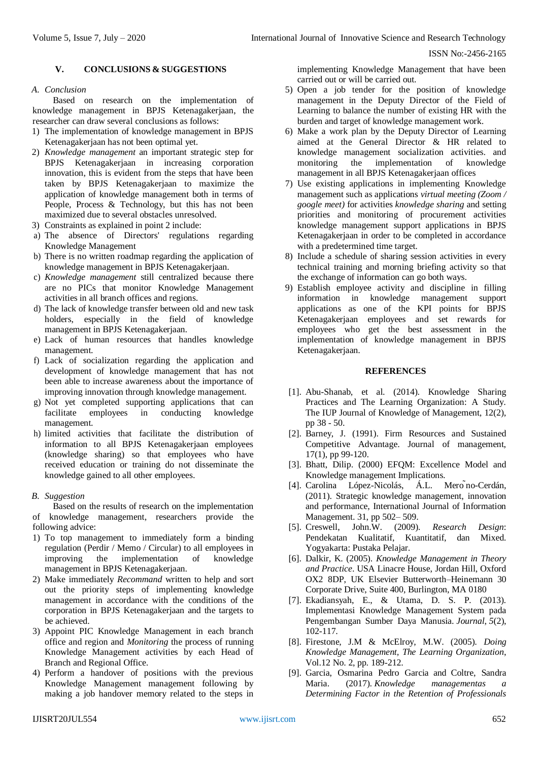## **V. CONCLUSIONS & SUGGESTIONS**

#### *A. Conclusion*

Based on research on the implementation of knowledge management in BPJS Ketenagakerjaan, the researcher can draw several conclusions as follows:

- 1) The implementation of knowledge management in BPJS Ketenagakerjaan has not been optimal yet.
- 2) *Knowledge management* an important strategic step for BPJS Ketenagakerjaan in increasing corporation innovation, this is evident from the steps that have been taken by BPJS Ketenagakerjaan to maximize the application of knowledge management both in terms of People, Process & Technology, but this has not been maximized due to several obstacles unresolved.
- 3) Constraints as explained in point 2 include:
- a) The absence of Directors' regulations regarding Knowledge Management
- b) There is no written roadmap regarding the application of knowledge management in BPJS Ketenagakerjaan.
- c) *Knowledge management* still centralized because there are no PICs that monitor Knowledge Management activities in all branch offices and regions.
- d) The lack of knowledge transfer between old and new task holders, especially in the field of knowledge management in BPJS Ketenagakerjaan.
- e) Lack of human resources that handles knowledge management.
- f) Lack of socialization regarding the application and development of knowledge management that has not been able to increase awareness about the importance of improving innovation through knowledge management.
- g) Not yet completed supporting applications that can facilitate employees in conducting knowledge management.
- h) limited activities that facilitate the distribution of information to all BPJS Ketenagakerjaan employees (knowledge sharing) so that employees who have received education or training do not disseminate the knowledge gained to all other employees.

## *B. Suggestion*

Based on the results of research on the implementation of knowledge management, researchers provide the following advice:

- 1) To top management to immediately form a binding regulation (Perdir / Memo / Circular) to all employees in improving the implementation of knowledge management in BPJS Ketenagakerjaan.
- 2) Make immediately *Recommand* written to help and sort out the priority steps of implementing knowledge management in accordance with the conditions of the corporation in BPJS Ketenagakerjaan and the targets to be achieved.
- 3) Appoint PIC Knowledge Management in each branch office and region and *Monitoring* the process of running Knowledge Management activities by each Head of Branch and Regional Office.
- 4) Perform a handover of positions with the previous Knowledge Management management following by making a job handover memory related to the steps in

implementing Knowledge Management that have been carried out or will be carried out.

- 5) Open a job tender for the position of knowledge management in the Deputy Director of the Field of Learning to balance the number of existing HR with the burden and target of knowledge management work.
- 6) Make a work plan by the Deputy Director of Learning aimed at the General Director & HR related to knowledge management socialization activities. and monitoring the implementation of knowledge management in all BPJS Ketenagakerjaan offices
- 7) Use existing applications in implementing Knowledge management such as applications *virtual meeting (Zoom / google meet)* for activities *knowledge sharing* and setting priorities and monitoring of procurement activities knowledge management support applications in BPJS Ketenagakerjaan in order to be completed in accordance with a predetermined time target.
- 8) Include a schedule of sharing session activities in every technical training and morning briefing activity so that the exchange of information can go both ways.
- 9) Establish employee activity and discipline in filling information in knowledge management support applications as one of the KPI points for BPJS Ketenagakerjaan employees and set rewards for employees who get the best assessment in the implementation of knowledge management in BPJS Ketenagakerjaan.

#### **REFERENCES**

- [1]. Abu-Shanab, et al. (2014). Knowledge Sharing Practices and The Learning Organization: A Study. The IUP Journal of Knowledge of Management, 12(2), pp 38 - 50.
- [2]. Barney, J. (1991). Firm Resources and Sustained Competitive Advantage. Journal of management, 17(1), pp 99-120.
- [3]. Bhatt, Dilip. (2000) EFOM: Excellence Model and Knowledge management Implications.
- [4]. Carolina López-Nicolás, Á.L. Mero ̃no-Cerdán, (2011). Strategic knowledge management, innovation and performance, International Journal of Information Management. 31, pp 502– 509.
- [5]. Creswell, John.W. (2009). *Research Design*: Pendekatan Kualitatif, Kuantitatif, dan Mixed. Yogyakarta: Pustaka Pelajar.
- [6]. Dalkir, K. (2005). *Knowledge Management in Theory and Practice*. USA Linacre House, Jordan Hill, Oxford OX2 8DP, UK Elsevier Butterworth–Heinemann 30 Corporate Drive, Suite 400, Burlington, MA 0180
- [7]. Ekadiansyah, E., & Utama, D. S. P. (2013). Implementasi Knowledge Management System pada Pengembangan Sumber Daya Manusia. *Journal*, *5*(2), 102-117.
- [8]. Firestone, J.M & McElroy, M.W. (2005). *Doing Knowledge Management, The Learning Organization*, Vol.12 No. 2, pp. 189-212.
- [9]. [Garcia, Osmarina Pedro Garcia](http://www.scielo.br/cgi-bin/wxis.exe/iah/?IsisScript=iah/iah.xis&base=article%5Edlibrary&format=iso.pft&lang=i&nextAction=lnk&indexSearch=AU&exprSearch=GARCIA,+OSMARINA+PEDRO+GARCIA) and [Coltre, Sandra](http://www.scielo.br/cgi-bin/wxis.exe/iah/?IsisScript=iah/iah.xis&base=article%5Edlibrary&format=iso.pft&lang=i&nextAction=lnk&indexSearch=AU&exprSearch=COLTRE,+SANDRA+MARIA)  [Maria.](http://www.scielo.br/cgi-bin/wxis.exe/iah/?IsisScript=iah/iah.xis&base=article%5Edlibrary&format=iso.pft&lang=i&nextAction=lnk&indexSearch=AU&exprSearch=COLTRE,+SANDRA+MARIA) (2017). *Knowledge managementas a Determining Factor in the Retention of Professionals*